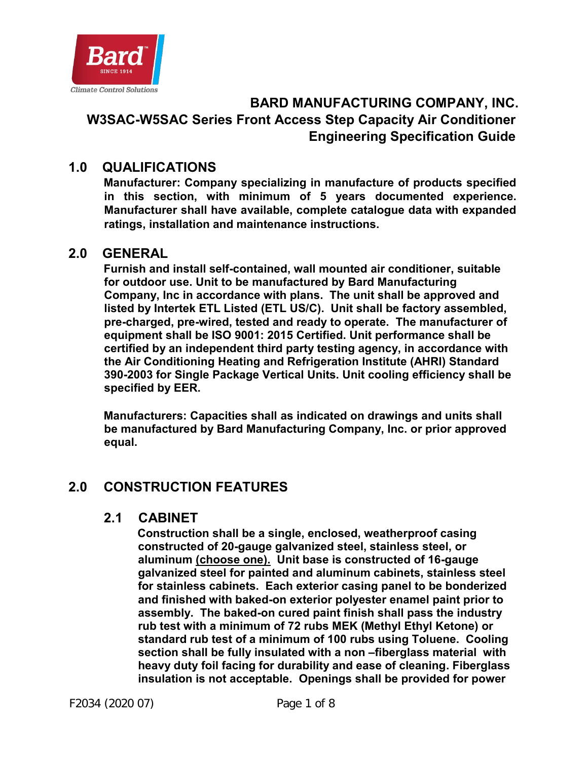

## **BARD MANUFACTURING COMPANY, INC. W3SAC-W5SAC Series Front Access Step Capacity Air Conditioner Engineering Specification Guide**

## **1.0 QUALIFICATIONS**

**Manufacturer: Company specializing in manufacture of products specified in this section, with minimum of 5 years documented experience. Manufacturer shall have available, complete catalogue data with expanded ratings, installation and maintenance instructions.** 

#### **2.0 GENERAL**

**Furnish and install self-contained, wall mounted air conditioner, suitable for outdoor use. Unit to be manufactured by Bard Manufacturing Company, Inc in accordance with plans. The unit shall be approved and listed by Intertek ETL Listed (ETL US/C). Unit shall be factory assembled, pre-charged, pre-wired, tested and ready to operate. The manufacturer of equipment shall be ISO 9001: 2015 Certified. Unit performance shall be certified by an independent third party testing agency, in accordance with the Air Conditioning Heating and Refrigeration Institute (AHRI) Standard 390-2003 for Single Package Vertical Units. Unit cooling efficiency shall be specified by EER.** 

**Manufacturers: Capacities shall as indicated on drawings and units shall be manufactured by Bard Manufacturing Company, Inc. or prior approved equal.** 

## **2.0 CONSTRUCTION FEATURES**

#### **2.1 CABINET**

**Construction shall be a single, enclosed, weatherproof casing constructed of 20-gauge galvanized steel, stainless steel, or aluminum (choose one). Unit base is constructed of 16-gauge galvanized steel for painted and aluminum cabinets, stainless steel for stainless cabinets. Each exterior casing panel to be bonderized and finished with baked-on exterior polyester enamel paint prior to assembly. The baked-on cured paint finish shall pass the industry rub test with a minimum of 72 rubs MEK (Methyl Ethyl Ketone) or standard rub test of a minimum of 100 rubs using Toluene. Cooling section shall be fully insulated with a non –fiberglass material with heavy duty foil facing for durability and ease of cleaning. Fiberglass insulation is not acceptable. Openings shall be provided for power**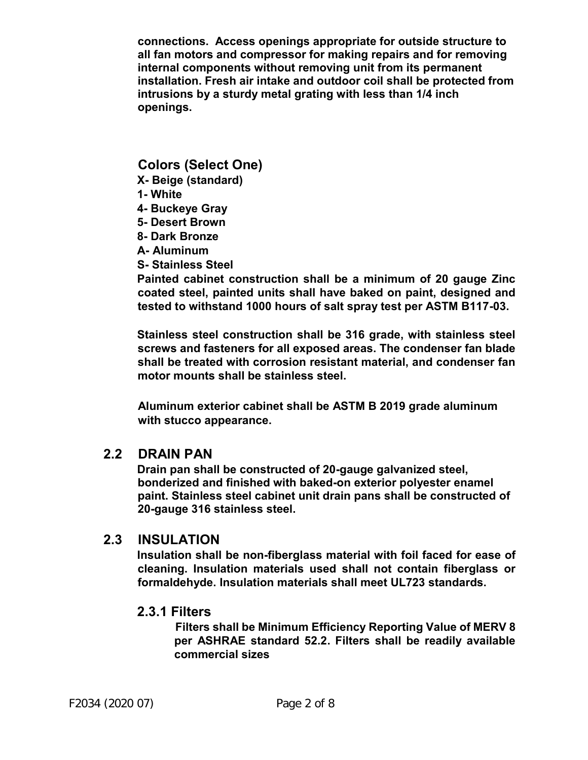**connections. Access openings appropriate for outside structure to all fan motors and compressor for making repairs and for removing internal components without removing unit from its permanent installation. Fresh air intake and outdoor coil shall be protected from intrusions by a sturdy metal grating with less than 1/4 inch openings.** 

#### **Colors (Select One)**

- **X- Beige (standard)**
- **1- White**
- **4- Buckeye Gray**
- **5- Desert Brown**
- **8- Dark Bronze**
- **A- Aluminum**
- **S- Stainless Steel**

**Painted cabinet construction shall be a minimum of 20 gauge Zinc coated steel, painted units shall have baked on paint, designed and tested to withstand 1000 hours of salt spray test per ASTM B117-03.**

**Stainless steel construction shall be 316 grade, with stainless steel screws and fasteners for all exposed areas. The condenser fan blade shall be treated with corrosion resistant material, and condenser fan motor mounts shall be stainless steel.** 

**Aluminum exterior cabinet shall be ASTM B 2019 grade aluminum with stucco appearance.** 

#### **2.2 DRAIN PAN**

**Drain pan shall be constructed of 20-gauge galvanized steel, bonderized and finished with baked-on exterior polyester enamel paint. Stainless steel cabinet unit drain pans shall be constructed of 20-gauge 316 stainless steel.** 

#### **2.3 INSULATION**

**Insulation shall be non-fiberglass material with foil faced for ease of cleaning. Insulation materials used shall not contain fiberglass or formaldehyde. Insulation materials shall meet UL723 standards.** 

#### **2.3.1 Filters**

 **Filters shall be Minimum Efficiency Reporting Value of MERV 8 per ASHRAE standard 52.2. Filters shall be readily available commercial sizes**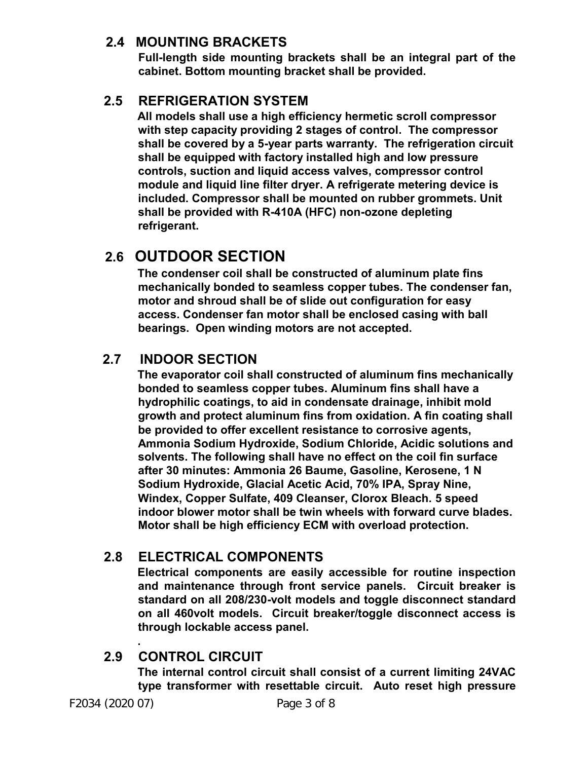#### **2.4 MOUNTING BRACKETS**

**Full-length side mounting brackets shall be an integral part of the cabinet. Bottom mounting bracket shall be provided.** 

## **2.5 REFRIGERATION SYSTEM**

**All models shall use a high efficiency hermetic scroll compressor with step capacity providing 2 stages of control. The compressor shall be covered by a 5-year parts warranty. The refrigeration circuit shall be equipped with factory installed high and low pressure controls, suction and liquid access valves, compressor control module and liquid line filter dryer. A refrigerate metering device is included. Compressor shall be mounted on rubber grommets. Unit shall be provided with R-410A (HFC) non-ozone depleting refrigerant.** 

# **2.6 OUTDOOR SECTION**

**The condenser coil shall be constructed of aluminum plate fins mechanically bonded to seamless copper tubes. The condenser fan, motor and shroud shall be of slide out configuration for easy access. Condenser fan motor shall be enclosed casing with ball bearings. Open winding motors are not accepted.** 

## **2.7 INDOOR SECTION**

**The evaporator coil shall constructed of aluminum fins mechanically bonded to seamless copper tubes. Aluminum fins shall have a hydrophilic coatings, to aid in condensate drainage, inhibit mold growth and protect aluminum fins from oxidation. A fin coating shall be provided to offer excellent resistance to corrosive agents, Ammonia Sodium Hydroxide, Sodium Chloride, Acidic solutions and solvents. The following shall have no effect on the coil fin surface after 30 minutes: Ammonia 26 Baume, Gasoline, Kerosene, 1 N Sodium Hydroxide, Glacial Acetic Acid, 70% IPA, Spray Nine, Windex, Copper Sulfate, 409 Cleanser, Clorox Bleach. 5 speed indoor blower motor shall be twin wheels with forward curve blades. Motor shall be high efficiency ECM with overload protection.** 

## **2.8 ELECTRICAL COMPONENTS**

**Electrical components are easily accessible for routine inspection and maintenance through front service panels. Circuit breaker is standard on all 208/230-volt models and toggle disconnect standard on all 460volt models. Circuit breaker/toggle disconnect access is through lockable access panel.** 

#### **. 2.9 CONTROL CIRCUIT**

**The internal control circuit shall consist of a current limiting 24VAC type transformer with resettable circuit. Auto reset high pressure**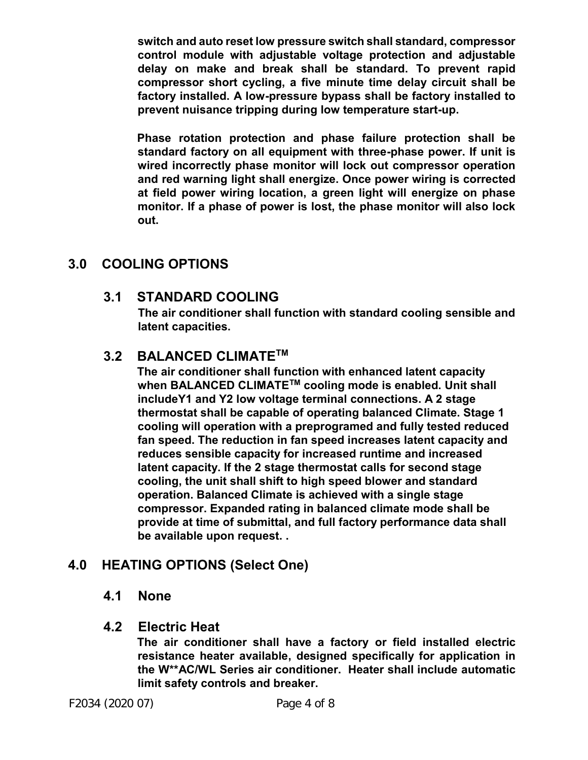**switch and auto reset low pressure switch shall standard, compressor control module with adjustable voltage protection and adjustable delay on make and break shall be standard. To prevent rapid compressor short cycling, a five minute time delay circuit shall be factory installed. A low-pressure bypass shall be factory installed to prevent nuisance tripping during low temperature start-up.** 

**Phase rotation protection and phase failure protection shall be standard factory on all equipment with three-phase power. If unit is wired incorrectly phase monitor will lock out compressor operation and red warning light shall energize. Once power wiring is corrected at field power wiring location, a green light will energize on phase monitor. If a phase of power is lost, the phase monitor will also lock out.** 

## **3.0 COOLING OPTIONS**

#### **3.1 STANDARD COOLING**

**The air conditioner shall function with standard cooling sensible and latent capacities.** 

## **3.2 BALANCED CLIMATETM**

**The air conditioner shall function with enhanced latent capacity when BALANCED CLIMATETM cooling mode is enabled. Unit shall includeY1 and Y2 low voltage terminal connections. A 2 stage thermostat shall be capable of operating balanced Climate. Stage 1 cooling will operation with a preprogramed and fully tested reduced fan speed. The reduction in fan speed increases latent capacity and reduces sensible capacity for increased runtime and increased latent capacity. If the 2 stage thermostat calls for second stage cooling, the unit shall shift to high speed blower and standard operation. Balanced Climate is achieved with a single stage compressor. Expanded rating in balanced climate mode shall be provide at time of submittal, and full factory performance data shall be available upon request. .** 

## **4.0 HEATING OPTIONS (Select One)**

#### **4.1 None**

#### **4.2 Electric Heat**

**The air conditioner shall have a factory or field installed electric resistance heater available, designed specifically for application in the W\*\*AC/WL Series air conditioner. Heater shall include automatic limit safety controls and breaker.** 

F2034 (2020 07) Page 4 of 8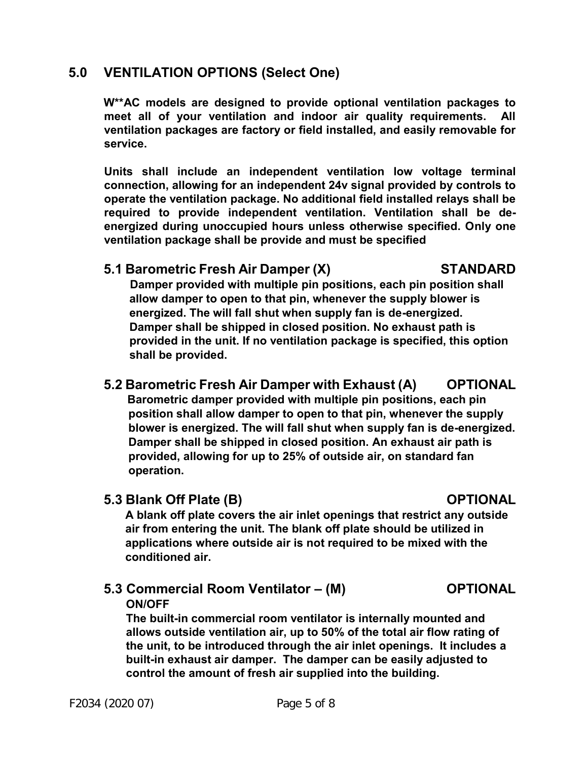## **5.0 VENTILATION OPTIONS (Select One)**

**W\*\*AC models are designed to provide optional ventilation packages to meet all of your ventilation and indoor air quality requirements. All ventilation packages are factory or field installed, and easily removable for service.** 

**Units shall include an independent ventilation low voltage terminal connection, allowing for an independent 24v signal provided by controls to operate the ventilation package. No additional field installed relays shall be required to provide independent ventilation. Ventilation shall be deenergized during unoccupied hours unless otherwise specified. Only one ventilation package shall be provide and must be specified** 

#### **5.1 Barometric Fresh Air Damper (X) STANDARD**

 **Damper provided with multiple pin positions, each pin position shall allow damper to open to that pin, whenever the supply blower is energized. The will fall shut when supply fan is de-energized. Damper shall be shipped in closed position. No exhaust path is provided in the unit. If no ventilation package is specified, this option shall be provided.** 

## **5.2 Barometric Fresh Air Damper with Exhaust (A) OPTIONAL**

 **Barometric damper provided with multiple pin positions, each pin position shall allow damper to open to that pin, whenever the supply blower is energized. The will fall shut when supply fan is de-energized. Damper shall be shipped in closed position. An exhaust air path is provided, allowing for up to 25% of outside air, on standard fan operation.** 

#### **5.3 Blank Off Plate (B) OPTIONAL**

**A blank off plate covers the air inlet openings that restrict any outside air from entering the unit. The blank off plate should be utilized in applications where outside air is not required to be mixed with the conditioned air.** 

#### **5.3 Commercial Room Ventilator – (M) OPTIONAL ON/OFF**

**The built-in commercial room ventilator is internally mounted and allows outside ventilation air, up to 50% of the total air flow rating of the unit, to be introduced through the air inlet openings. It includes a built-in exhaust air damper. The damper can be easily adjusted to control the amount of fresh air supplied into the building.**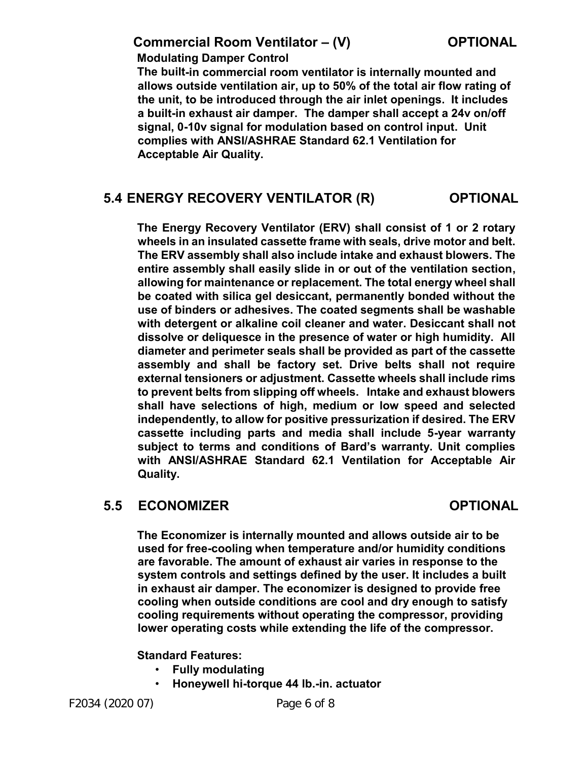#### **Commercial Room Ventilator – (V) COPTIONAL**

 **Modulating Damper Control** 

**The built-in commercial room ventilator is internally mounted and allows outside ventilation air, up to 50% of the total air flow rating of the unit, to be introduced through the air inlet openings. It includes a built-in exhaust air damper. The damper shall accept a 24v on/off signal, 0-10v signal for modulation based on control input. Unit complies with ANSI/ASHRAE Standard 62.1 Ventilation for Acceptable Air Quality.** 

#### **5.4 ENERGY RECOVERY VENTILATOR (R) OPTIONAL**

**The Energy Recovery Ventilator (ERV) shall consist of 1 or 2 rotary wheels in an insulated cassette frame with seals, drive motor and belt. The ERV assembly shall also include intake and exhaust blowers. The entire assembly shall easily slide in or out of the ventilation section, allowing for maintenance or replacement. The total energy wheel shall be coated with silica gel desiccant, permanently bonded without the use of binders or adhesives. The coated segments shall be washable with detergent or alkaline coil cleaner and water. Desiccant shall not dissolve or deliquesce in the presence of water or high humidity. All diameter and perimeter seals shall be provided as part of the cassette assembly and shall be factory set. Drive belts shall not require external tensioners or adjustment. Cassette wheels shall include rims to prevent belts from slipping off wheels. Intake and exhaust blowers shall have selections of high, medium or low speed and selected independently, to allow for positive pressurization if desired. The ERV cassette including parts and media shall include 5-year warranty subject to terms and conditions of Bard's warranty. Unit complies with ANSI/ASHRAE Standard 62.1 Ventilation for Acceptable Air Quality.** 

## **5.5 ECONOMIZER OPTIONAL**

**The Economizer is internally mounted and allows outside air to be used for free-cooling when temperature and/or humidity conditions are favorable. The amount of exhaust air varies in response to the system controls and settings defined by the user. It includes a built in exhaust air damper. The economizer is designed to provide free cooling when outside conditions are cool and dry enough to satisfy cooling requirements without operating the compressor, providing lower operating costs while extending the life of the compressor.** 

#### **Standard Features:**

- **Fully modulating**
- **Honeywell hi-torque 44 lb.-in. actuator**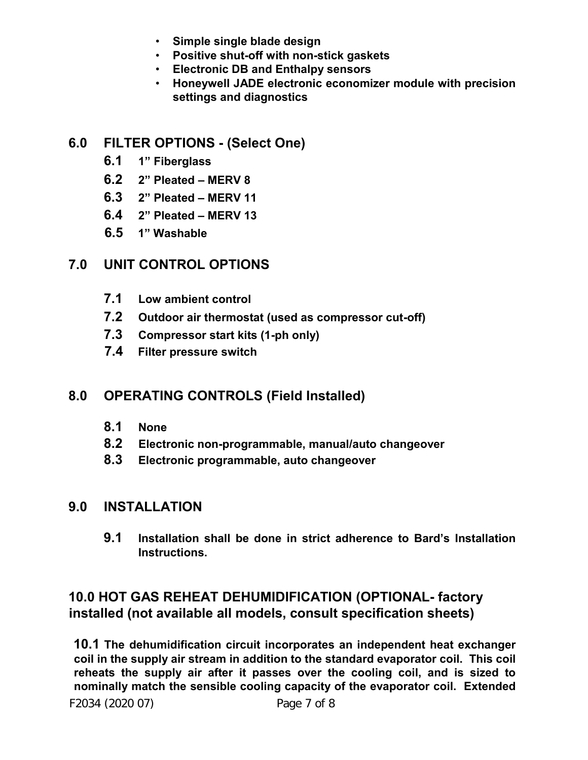- **Simple single blade design**
- **Positive shut-off with non-stick gaskets**
- **Electronic DB and Enthalpy sensors**
- **Honeywell JADE electronic economizer module with precision settings and diagnostics**

## **6.0 FILTER OPTIONS - (Select One)**

- **6.1 1" Fiberglass**
- **6.2 2" Pleated MERV 8**
- **6.3 2" Pleated MERV 11**
- **6.4 2" Pleated MERV 13**
- **6.5 1" Washable**

## **7.0 UNIT CONTROL OPTIONS**

- **7.1 Low ambient control**
- **7.2 Outdoor air thermostat (used as compressor cut-off)**
- **7.3 Compressor start kits (1-ph only)**
- **7.4 Filter pressure switch**

## **8.0 OPERATING CONTROLS (Field Installed)**

- **8.1 None**
- **8.2 Electronic non-programmable, manual/auto changeover**
- **8.3 Electronic programmable, auto changeover**

## **9.0 INSTALLATION**

**9.1 Installation shall be done in strict adherence to Bard's Installation Instructions.** 

## **10.0 HOT GAS REHEAT DEHUMIDIFICATION (OPTIONAL- factory installed (not available all models, consult specification sheets)**

**10.1 The dehumidification circuit incorporates an independent heat exchanger coil in the supply air stream in addition to the standard evaporator coil. This coil reheats the supply air after it passes over the cooling coil, and is sized to nominally match the sensible cooling capacity of the evaporator coil. Extended**